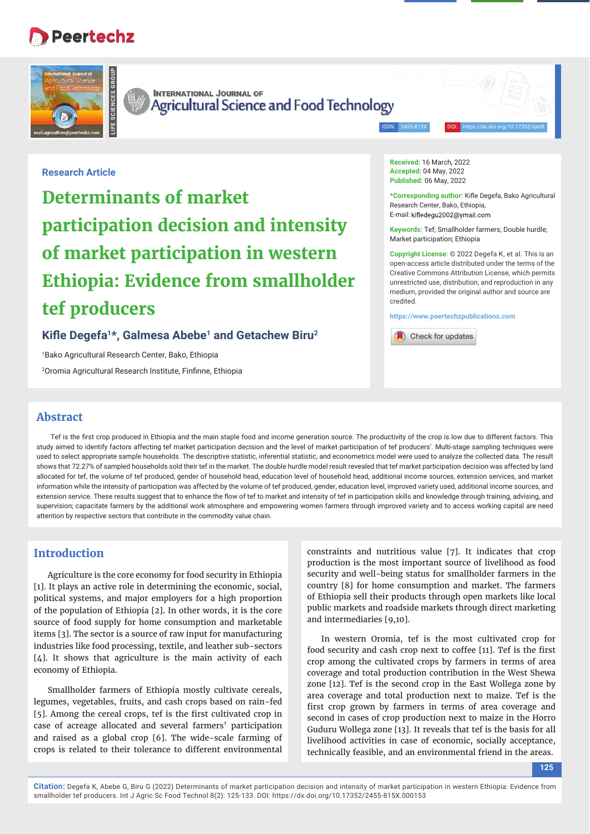# **Peertechz**



**INTERNATIONAL JOURNAL OF** Agricultural Science and Food Technology

ISSN: 2455-815X DOI: https://dx.doi.org/10.17352/ijasft

# **Research Article**

**Determinants of market participation decision and intensity of market participation in western Ethiopia: Evidence from smallholder tef producers**

# Kifle Degefa<sup>1\*</sup>, Galmesa Abebe<sup>1</sup> and Getachew Biru<sup>2</sup>

1 Bako Agricultural Research Center, Bako, Ethiopia <sup>2</sup>Oromia Agricultural Research Institute, Finfinne, Ethiopia **Received:** 16 March, 2022 **Accepted:** 04 May, 2022 **Published:** 06 May, 2022

\*Corresponding author: Kifle Degefa, Bako Agricultural Research Center, Bako, Ethiopia, E-mail: kifledegu2002@ymail.com

**Keywords:** Tef; Smallholder farmers; Double hurdle; Market participation; Ethiopia

**Copyright License:** © 2022 Degefa K, et al. This is an open-access article distributed under the terms of the Creative Commons Attribution License, which permits unrestricted use, distribution, and reproduction in any medium, provided the original author and source are credited.

**https://www.peertechzpublications.com**



# **Abstract**

Tef is the first crop produced in Ethiopia and the main staple food and income generation source. The productivity of the crop is low due to different factors. This study aimed to identify factors affecting tef market participation decision and the level of market participation of tef producers'. Multi-stage sampling techniques were used to select appropriate sample households. The descriptive statistic, inferential statistic, and econometrics model were used to analyze the collected data. The result shows that 72.27% of sampled households sold their tef in the market. The double hurdle model result revealed that tef market participation decision was affected by land allocated for tef, the volume of tef produced, gender of household head, education level of household head, additional income sources, extension services, and market information while the intensity of participation was affected by the volume of tef produced, gender, education level, improved variety used, additional income sources, and extension service. These results suggest that to enhance the flow of tef to market and intensity of tef in participation skills and knowledge through training, advising, and supervision; capacitate farmers by the additional work atmosphere and empowering women farmers through improved variety and to access working capital are need attention by respective sectors that contribute in the commodity value chain.

## **Introduction**

Agriculture is the core economy for food security in Ethiopia [1]. It plays an active role in determining the economic, social, political systems, and major employers for a high proportion of the population of Ethiopia [2]. In other words, it is the core source of food supply for home consumption and marketable items [3]. The sector is a source of raw input for manufacturing industries like food processing, textile, and leather sub-sectors [4]. It shows that agriculture is the main activity of each economy of Ethiopia.

Smallholder farmers of Ethiopia mostly cultivate cereals, legumes, vegetables, fruits, and cash crops based on rain-fed [5]. Among the cereal crops, tef is the first cultivated crop in case of acreage allocated and several farmers' participation and raised as a global crop [6]. The wide-scale farming of crops is related to their tolerance to different environmental

constraints and nutritious value [7]. It indicates that crop production is the most important source of livelihood as food security and well-being status for smallholder farmers in the country [8] for home consumption and market. The farmers of Ethiopia sell their products through open markets like local public markets and roadside markets through direct marketing and intermediaries [9,10].

In western Oromia, tef is the most cultivated crop for food security and cash crop next to coffee [11]. Tef is the first crop among the cultivated crops by farmers in terms of area coverage and total production contribution in the West Shewa zone [12]. Tef is the second crop in the East Wollega zone by area coverage and total production next to maize. Tef is the first crop grown by farmers in terms of area coverage and second in cases of crop production next to maize in the Horro Guduru Wollega zone [13]. It reveals that tef is the basis for all livelihood activities in case of economic, socially acceptance, technically feasible, and an environmental friend in the areas.

**125**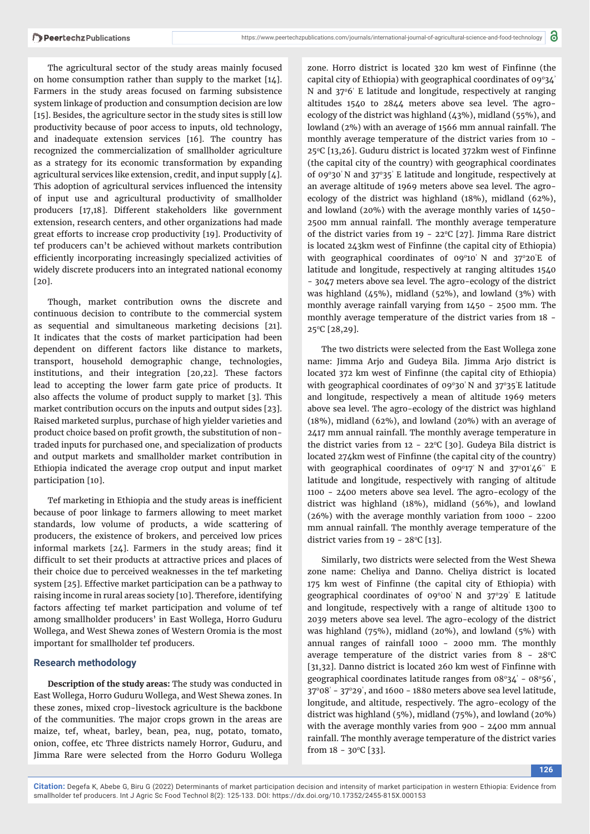The agricultural sector of the study areas mainly focused on home consumption rather than supply to the market [14]. Farmers in the study areas focused on farming subsistence system linkage of production and consumption decision are low [15]. Besides, the agriculture sector in the study sites is still low productivity because of poor access to inputs, old technology, and inadequate extension services [16]. The country has recognized the commercialization of smallholder agriculture as a strategy for its economic transformation by expanding agricultural services like extension, credit, and input supply [4]. This adoption of agricultural services influenced the intensity of input use and agricultural productivity of smallholder producers [17,18]. Different stakeholders like government extension, research centers, and other organizations had made great efforts to increase crop productivity [19]. Productivity of tef producers can't be achieved without markets contribution efficiently incorporating increasingly specialized activities of widely discrete producers into an integrated national economy [20].

Though, market contribution owns the discrete and continuous decision to contribute to the commercial system as sequential and simultaneous marketing decisions [21]. It indicates that the costs of market participation had been dependent on different factors like distance to markets, transport, household demographic change, technologies, institutions, and their integration [20,22]. These factors lead to accepting the lower farm gate price of products. It also affects the volume of product supply to market [3]. This market contribution occurs on the inputs and output sides [23]. Raised marketed surplus, purchase of high yielder varieties and product choice based on profit growth, the substitution of nontraded inputs for purchased one, and specialization of products and output markets and smallholder market contribution in Ethiopia indicated the average crop output and input market participation [10].

Tef marketing in Ethiopia and the study areas is inefficient because of poor linkage to farmers allowing to meet market standards, low volume of products, a wide scattering of producers, the existence of brokers, and perceived low prices informal markets  $[24]$ . Farmers in the study areas; find it difficult to set their products at attractive prices and places of their choice due to perceived weaknesses in the tef marketing system [25]. Effective market participation can be a pathway to raising income in rural areas society [10]. Therefore, identifying factors affecting tef market participation and volume of tef among smallholder producers' in East Wollega, Horro Guduru Wollega, and West Shewa zones of Western Oromia is the most important for smallholder tef producers.

#### **Research methodology**

**Description of the study areas:** The study was conducted in East Wollega, Horro Guduru Wollega, and West Shewa zones. In these zones, mixed crop-livestock agriculture is the backbone of the communities. The major crops grown in the areas are maize, tef, wheat, barley, bean, pea, nug, potato, tomato, onion, coffee, etc Three districts namely Horror, Guduru, and Jimma Rare were selected from the Horro Goduru Wollega

zone. Horro district is located 320 km west of Finfinne (the capital city of Ethiopia) with geographical coordinates of  $09^{\circ}34'$ N and 37°6' E latitude and longitude, respectively at ranging altitudes 1540 to 2844 meters above sea level. The agroecology of the district was highland (43%), midland (55%), and lowland (2%) with an average of 1566 mm annual rainfall. The monthly average temperature of the district varies from 10 - 25 $°C$  [13,26]. Guduru district is located 372km west of Finfinne (the capital city of the country) with geographical coordinates of 09 $\degree$ 30' N and 37 $\degree$ 35' E latitude and longitude, respectively at an average altitude of 1969 meters above sea level. The agroecology of the district was highland (18%), midland (62%), and lowland (20%) with the average monthly varies of 1450- 2500 mm annual rainfall. The monthly average temperature of the district varies from  $19 - 22^{\circ}C$  [27]. Jimma Rare district is located 243km west of Finfinne (the capital city of Ethiopia) with geographical coordinates of  $0.00^{\circ}10'$  N and  $37^{\circ}20'E$  of latitude and longitude, respectively at ranging altitudes 1540 - 3047 meters above sea level. The agro-ecology of the district was highland (45%), midland (52%), and lowland (3%) with monthly average rainfall varying from 1450 - 2500 mm. The monthly average temperature of the district varies from 18 - 250C [28,29].

The two districts were selected from the East Wollega zone name: Jimma Arjo and Gudeya Bila. Jimma Arjo district is located 372 km west of Finfinne (the capital city of Ethiopia) with geographical coordinates of 09 $^{\circ}$ 30' N and 37 $^{\circ}$ 35'E latitude and longitude, respectively a mean of altitude 1969 meters above sea level. The agro-ecology of the district was highland (18%), midland (62%), and lowland (20%) with an average of 2417 mm annual rainfall. The monthly average temperature in the district varies from  $12 - 22^{\circ}C$  [30]. Gudeya Bila district is located 274km west of Finfinne (the capital city of the country) with geographical coordinates of 09 $\degree$ 17' N and 37 $\degree$ 01'46'' E latitude and longitude, respectively with ranging of altitude 1100 - 2400 meters above sea level. The agro-ecology of the district was highland (18%), midland (56%), and lowland (26%) with the average monthly variation from 1000 - 2200 mm annual rainfall. The monthly average temperature of the district varies from  $19 - 28$ °C [13].

Similarly, two districts were selected from the West Shewa zone name: Cheliya and Danno. Cheliya district is located 175 km west of Finfinne (the capital city of Ethiopia) with geographical coordinates of 09 $^{\circ}$ 00' N and 37 $^{\circ}$ 29' E latitude and longitude, respectively with a range of altitude 1300 to 2039 meters above sea level. The agro-ecology of the district was highland (75%), midland (20%), and lowland (5%) with annual ranges of rainfall 1000 - 2000 mm. The monthly average temperature of the district varies from  $8 - 28$ °C [31,32]. Danno district is located 260 km west of Finfinne with geographical coordinates latitude ranges from  $08^{\circ}34'$  -  $08^{\circ}56'$ ,  $37^{\circ}$ 08' -  $37^{\circ}$ 29', and 1600 - 1880 meters above sea level latitude, longitude, and altitude, respectively. The agro-ecology of the district was highland (5%), midland (75%), and lowland (20%) with the average monthly varies from 900 - 2400 mm annual rainfall. The monthly average temperature of the district varies from  $18 - 30^{\circ}C$  [33].

**126**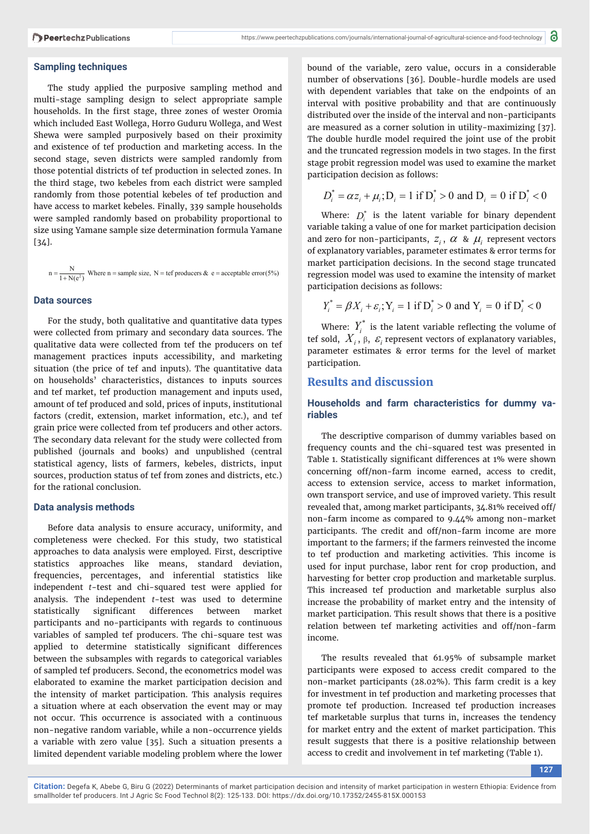#### **Sampling techniques**

The study applied the purposive sampling method and multi-stage sampling design to select appropriate sample households. In the first stage, three zones of wester Oromia which included East Wollega, Horro Guduru Wollega, and West Shewa were sampled purposively based on their proximity and existence of tef production and marketing access. In the second stage, seven districts were sampled randomly from those potential districts of tef production in selected zones. In the third stage, two kebeles from each district were sampled randomly from those potential kebeles of tef production and have access to market kebeles. Finally, 339 sample households were sampled randomly based on probability proportional to size using Yamane sample size determination formula Yamane [34].

 $n = \frac{N}{1 + N(e^2)}$  Where n = sample size, N = tef producers & e = acceptable error (5%)

### **Data sources**

For the study, both qualitative and quantitative data types were collected from primary and secondary data sources. The qualitative data were collected from tef the producers on tef management practices inputs accessibility, and marketing situation (the price of tef and inputs). The quantitative data on households' characteristics, distances to inputs sources and tef market, tef production management and inputs used, amount of tef produced and sold, prices of inputs, institutional factors (credit, extension, market information, etc.), and tef grain price were collected from tef producers and other actors. The secondary data relevant for the study were collected from published (journals and books) and unpublished (central statistical agency, lists of farmers, kebeles, districts, input sources, production status of tef from zones and districts, etc.) for the rational conclusion.

#### **Data analysis methods**

Before data analysis to ensure accuracy, uniformity, and completeness were checked. For this study, two statistical approaches to data analysis were employed. First, descriptive statistics approaches like means, standard deviation, frequencies, percentages, and inferential statistics like independent *t*-test and chi-squared test were applied for analysis. The independent *t*-test was used to determine statistically significant differences between market participants and no-participants with regards to continuous variables of sampled tef producers. The chi-square test was applied to determine statistically significant differences between the subsamples with regards to categorical variables of sampled tef producers. Second, the econometrics model was elaborated to examine the market participation decision and the intensity of market participation. This analysis requires a situation where at each observation the event may or may not occur. This occurrence is associated with a continuous non-negative random variable, while a non-occurrence yields a variable with zero value [35]. Such a situation presents a limited dependent variable modeling problem where the lower

bound of the variable, zero value, occurs in a considerable number of observations [36]. Double-hurdle models are used with dependent variables that take on the endpoints of an interval with positive probability and that are continuously distributed over the inside of the interval and non-participants are measured as a corner solution in utility-maximizing [37]. The double hurdle model required the joint use of the probit and the truncated regression models in two stages. In the first stage probit regression model was used to examine the market participation decision as follows:

$$
D_i^* = \alpha z_i + \mu_i
$$
;  $D_i = 1$  if  $D_i^* > 0$  and  $D_i = 0$  if  $D_i^* < 0$ 

Where:  $D_i^*$  is the latent variable for binary dependent variable taking a value of one for market participation decision and zero for non-participants,  $z_i$ ,  $\alpha$  &  $\mu_i$  represent vectors of explanatory variables, parameter estimates & error terms for market participation decisions. In the second stage truncated regression model was used to examine the intensity of market participation decisions as follows:

$$
Y_i^* = \beta X_i + \varepsilon_i
$$
;  $Y_i = 1$  if  $D_i^* > 0$  and  $Y_i = 0$  if  $D_i^* < 0$ 

Where:  $Y_i^*$  is the latent variable reflecting the volume of tef sold,  $X_i$ ,  $\beta$ ,  $\varepsilon$ <sub>i</sub> represent vectors of explanatory variables, parameter estimates & error terms for the level of market participation.

# **Results and discussion**

#### **Households and farm characteristics for dummy variables**

The descriptive comparison of dummy variables based on frequency counts and the chi-squared test was presented in Table 1. Statistically significant differences at 1% were shown concerning off/non-farm income earned, access to credit, access to extension service, access to market information, own transport service, and use of improved variety. This result revealed that, among market participants, 34.81% received off/ non-farm income as compared to 9.44% among non-market participants. The credit and off/non-farm income are more important to the farmers; if the farmers reinvested the income to tef production and marketing activities. This income is used for input purchase, labor rent for crop production, and harvesting for better crop production and marketable surplus. This increased tef production and marketable surplus also increase the probability of market entry and the intensity of market participation. This result shows that there is a positive relation between tef marketing activities and off/non-farm income.

The results revealed that 61.95% of subsample market participants were exposed to access credit compared to the non-market participants (28.02%). This farm credit is a key for investment in tef production and marketing processes that promote tef production. Increased tef production increases tef marketable surplus that turns in, increases the tendency for market entry and the extent of market participation. This result suggests that there is a positive relationship between access to credit and involvement in tef marketing (Table 1).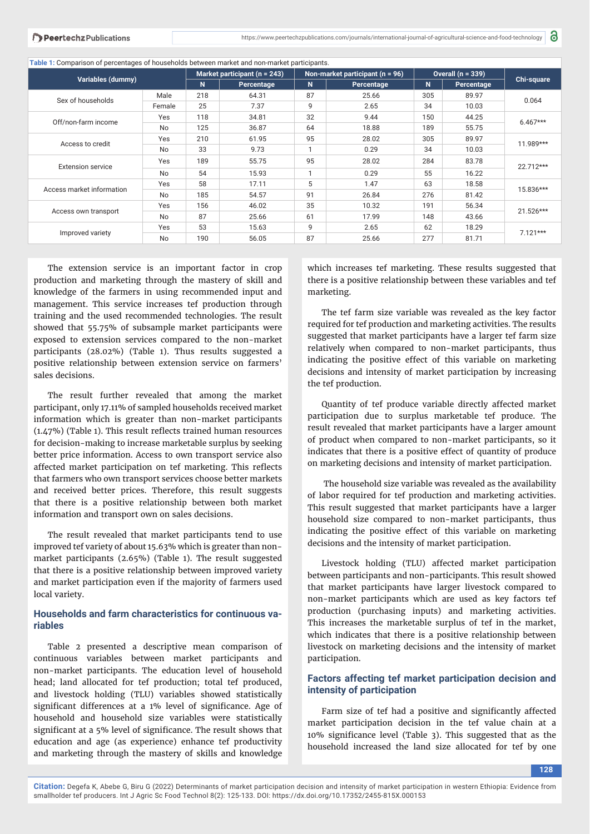**Table 1:** Comparison of percentages of households between market and non-market participants.

| Variables (dummy)         |           | Market participant ( $n = 243$ ) |            | Non-market participant ( $n = 96$ ) |            | Overall $(n = 339)$ |            |                   |
|---------------------------|-----------|----------------------------------|------------|-------------------------------------|------------|---------------------|------------|-------------------|
|                           |           | N                                | Percentage | N                                   | Percentage | N                   | Percentage | <b>Chi-square</b> |
| Sex of households         | Male      | 218                              | 64.31      | 87                                  | 25.66      | 305                 | 89.97      | 0.064             |
|                           | Female    | 25                               | 7.37       | 9                                   | 2.65       | 34                  | 10.03      |                   |
| Off/non-farm income       | Yes       | 118                              | 34.81      | 32                                  | 9.44       | 150                 | 44.25      | $6.467***$        |
|                           | No        | 125                              | 36.87      | 64                                  | 18.88      | 189                 | 55.75      |                   |
| Access to credit          | Yes       | 210                              | 61.95      | 95                                  | 28.02      | 305                 | 89.97      | 11.989***         |
|                           | <b>No</b> | 33                               | 9.73       | 1                                   | 0.29       | 34                  | 10.03      |                   |
| <b>Extension service</b>  | Yes       | 189                              | 55.75      | 95                                  | 28.02      | 284                 | 83.78      | 22.712***         |
|                           | <b>No</b> | 54                               | 15.93      | 1                                   | 0.29       | 55                  | 16.22      |                   |
| Access market information | Yes       | 58                               | 17.11      | 5                                   | 1.47       | 63                  | 18.58      | 15.836***         |
|                           | <b>No</b> | 185                              | 54.57      | 91                                  | 26.84      | 276                 | 81.42      |                   |
| Access own transport      | Yes       | 156                              | 46.02      | 35                                  | 10.32      | 191                 | 56.34      | 21.526***         |
|                           | No        | 87                               | 25.66      | 61                                  | 17.99      | 148                 | 43.66      |                   |
| Improved variety          | Yes       | 53                               | 15.63      | 9                                   | 2.65       | 62                  | 18.29      | $7.121***$        |
|                           | <b>No</b> | 190                              | 56.05      | 87                                  | 25.66      | 277                 | 81.71      |                   |

The extension service is an important factor in crop production and marketing through the mastery of skill and knowledge of the farmers in using recommended input and management. This service increases tef production through training and the used recommended technologies. The result showed that 55.75% of subsample market participants were exposed to extension services compared to the non-market participants (28.02%) (Table 1). Thus results suggested a positive relationship between extension service on farmers' sales decisions.

The result further revealed that among the market participant, only 17.11% of sampled households received market information which is greater than non-market participants  $(1.47%)$  (Table 1). This result reflects trained human resources for decision-making to increase marketable surplus by seeking better price information. Access to own transport service also affected market participation on tef marketing. This reflects that farmers who own transport services choose better markets and received better prices. Therefore, this result suggests that there is a positive relationship between both market information and transport own on sales decisions.

The result revealed that market participants tend to use improved tef variety of about 15.63% which is greater than nonmarket participants (2.65%) (Table 1). The result suggested that there is a positive relationship between improved variety and market participation even if the majority of farmers used local variety.

## **Households and farm characteristics for continuous variables**

Table 2 presented a descriptive mean comparison of continuous variables between market participants and non-market participants. The education level of household head; land allocated for tef production; total tef produced, and livestock holding (TLU) variables showed statistically significant differences at a 1% level of significance. Age of household and household size variables were statistically significant at a 5% level of significance. The result shows that education and age (as experience) enhance tef productivity and marketing through the mastery of skills and knowledge

which increases tef marketing. These results suggested that there is a positive relationship between these variables and tef marketing.

The tef farm size variable was revealed as the key factor required for tef production and marketing activities. The results suggested that market participants have a larger tef farm size relatively when compared to non-market participants, thus indicating the positive effect of this variable on marketing decisions and intensity of market participation by increasing the tef production.

Quantity of tef produce variable directly affected market participation due to surplus marketable tef produce. The result revealed that market participants have a larger amount of product when compared to non-market participants, so it indicates that there is a positive effect of quantity of produce on marketing decisions and intensity of market participation.

 The household size variable was revealed as the availability of labor required for tef production and marketing activities. This result suggested that market participants have a larger household size compared to non-market participants, thus indicating the positive effect of this variable on marketing decisions and the intensity of market participation.

Livestock holding (TLU) affected market participation between participants and non-participants. This result showed that market participants have larger livestock compared to non-market participants which are used as key factors tef production (purchasing inputs) and marketing activities. This increases the marketable surplus of tef in the market, which indicates that there is a positive relationship between livestock on marketing decisions and the intensity of market participation.

### **Factors affecting tef market participation decision and intensity of participation**

Farm size of tef had a positive and significantly affected market participation decision in the tef value chain at a 10% significance level (Table 3). This suggested that as the household increased the land size allocated for tef by one

**128**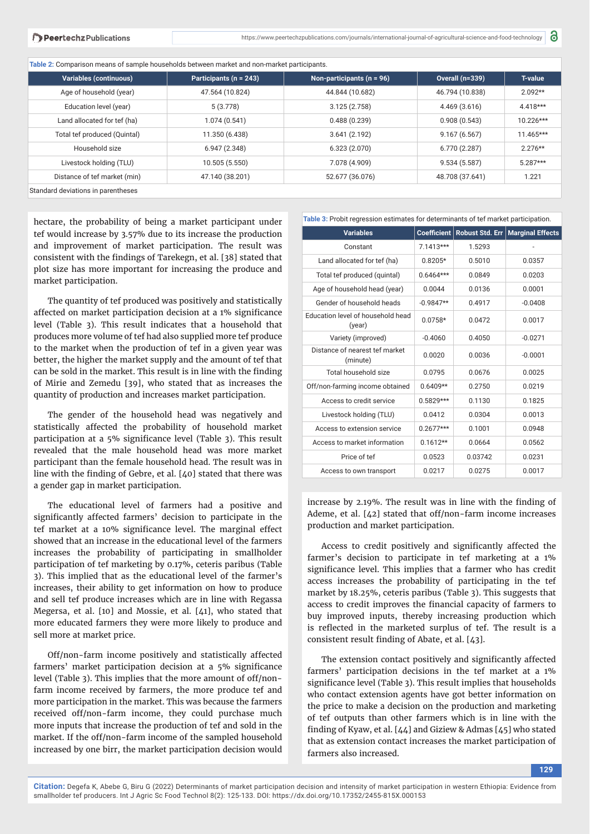**Table 2:** Comparison means of sample households between market and non-market participants.

| <b>Variables (continuous)</b>      | Participants (n = 243) | Non-participants ( $n = 96$ ) | <b>Overall (n=339)</b> | <b>T-value</b> |
|------------------------------------|------------------------|-------------------------------|------------------------|----------------|
| Age of household (year)            | 47.564 (10.824)        | 44.844 (10.682)               | 46.794 (10.838)        | $2.092**$      |
| Education level (year)             | 5(3.778)               | 3.125(2.758)                  | 4.469(3.616)           | $4.418***$     |
| Land allocated for tef (ha)        | 1.074(0.541)           | 0.488(0.239)                  | 0.908(0.543)           | $10.226***$    |
| Total tef produced (Quintal)       | 11.350 (6.438)         | 3.641(2.192)                  | 9.167(6.567)           | 11.465***      |
| Household size                     | 6.947(2.348)           | 6.323(2.070)                  | 6.770 (2.287)          | $2.276**$      |
| Livestock holding (TLU)            | 10.505 (5.550)         | 7.078 (4.909)                 | 9.534(5.587)           | $5.287***$     |
| Distance of tef market (min)       | 47.140 (38.201)        | 52.677 (36.076)               | 48.708 (37.641)        | 1.221          |
| Standard deviations in parentheses |                        |                               |                        |                |

hectare, the probability of being a market participant under tef would increase by 3.57% due to its increase the production and improvement of market participation. The result was consistent with the findings of Tarekegn, et al. [38] stated that plot size has more important for increasing the produce and market participation.

The quantity of tef produced was positively and statistically affected on market participation decision at a 1% significance level (Table 3). This result indicates that a household that produces more volume of tef had also supplied more tef produce to the market when the production of tef in a given year was better, the higher the market supply and the amount of tef that can be sold in the market. This result is in line with the finding of Mirie and Zemedu [39], who stated that as increases the quantity of production and increases market participation.

The gender of the household head was negatively and statistically affected the probability of household market participation at a 5% significance level (Table 3). This result revealed that the male household head was more market participant than the female household head. The result was in line with the finding of Gebre, et al.  $[40]$  stated that there was a gender gap in market participation.

The educational level of farmers had a positive and significantly affected farmers' decision to participate in the tef market at a 10% significance level. The marginal effect showed that an increase in the educational level of the farmers increases the probability of participating in smallholder participation of tef marketing by 0.17%, ceteris paribus (Table 3). This implied that as the educational level of the farmer's increases, their ability to get information on how to produce and sell tef produce increases which are in line with Regassa Megersa, et al. [10] and Mossie, et al. [41], who stated that more educated farmers they were more likely to produce and sell more at market price.

Off/non-farm income positively and statistically affected farmers' market participation decision at a 5% significance level (Table 3). This implies that the more amount of off/nonfarm income received by farmers, the more produce tef and more participation in the market. This was because the farmers received off/non-farm income, they could purchase much more inputs that increase the production of tef and sold in the market. If the off/non-farm income of the sampled household increased by one birr, the market participation decision would

| Table 3: Probit regression estimates for determinants of tef market participation. |                    |                        |                         |  |  |  |
|------------------------------------------------------------------------------------|--------------------|------------------------|-------------------------|--|--|--|
| <b>Variables</b>                                                                   | <b>Coefficient</b> | <b>Robust Std. Err</b> | <b>Marginal Effects</b> |  |  |  |
| Constant                                                                           | $7.1413***$        | 1.5293                 |                         |  |  |  |
| Land allocated for tef (ha)                                                        | $0.8205*$          | 0.5010                 | 0.0357                  |  |  |  |
| Total tef produced (quintal)                                                       | $0.6464***$        | 0.0849                 | 0.0203                  |  |  |  |
| Age of household head (year)                                                       | 0.0044             | 0.0136                 | 0.0001                  |  |  |  |
| Gender of household heads                                                          | $-0.9847**$        | 0.4917                 | $-0.0408$               |  |  |  |
| Education level of household head<br>(year)                                        | $0.0758*$          | 0.0472                 | 0.0017                  |  |  |  |
| Variety (improved)                                                                 | $-0.4060$          | 0.4050                 | $-0.0271$               |  |  |  |
| Distance of nearest tef market<br>(minute)                                         | 0.0020             | 0.0036                 | $-0.0001$               |  |  |  |
| Total household size                                                               | 0.0795             | 0.0676                 | 0.0025                  |  |  |  |
| Off/non-farming income obtained                                                    | $0.6409**$         | 0.2750                 | 0.0219                  |  |  |  |
| Access to credit service                                                           | $0.5829***$        | 0.1130                 | 0.1825                  |  |  |  |
| Livestock holding (TLU)                                                            | 0.0412             | 0.0304                 | 0.0013                  |  |  |  |
| Access to extension service                                                        | $0.2677***$        | 0.1001                 | 0.0948                  |  |  |  |
| Access to market information                                                       | $0.1612**$         | 0.0664                 | 0.0562                  |  |  |  |
| Price of tef                                                                       | 0.0523             | 0.03742                | 0.0231                  |  |  |  |
| Access to own transport                                                            | 0.0217             | 0.0275                 | 0.0017                  |  |  |  |

increase by  $2.19\%$ . The result was in line with the finding of Ademe, et al. [42] stated that off/non-farm income increases production and market participation.

Access to credit positively and significantly affected the farmer's decision to participate in tef marketing at a 1% significance level. This implies that a farmer who has credit access increases the probability of participating in the tef market by 18.25%, ceteris paribus (Table 3). This suggests that access to credit improves the financial capacity of farmers to buy improved inputs, thereby increasing production which is reflected in the marketed surplus of tef. The result is a consistent result finding of Abate, et al.  $[43]$ .

The extension contact positively and significantly affected farmers' participation decisions in the tef market at a 1% significance level (Table 3). This result implies that households who contact extension agents have got better information on the price to make a decision on the production and marketing of tef outputs than other farmers which is in line with the finding of Kyaw, et al. [44] and Giziew & Admas [45] who stated that as extension contact increases the market participation of farmers also increased.

**129**

a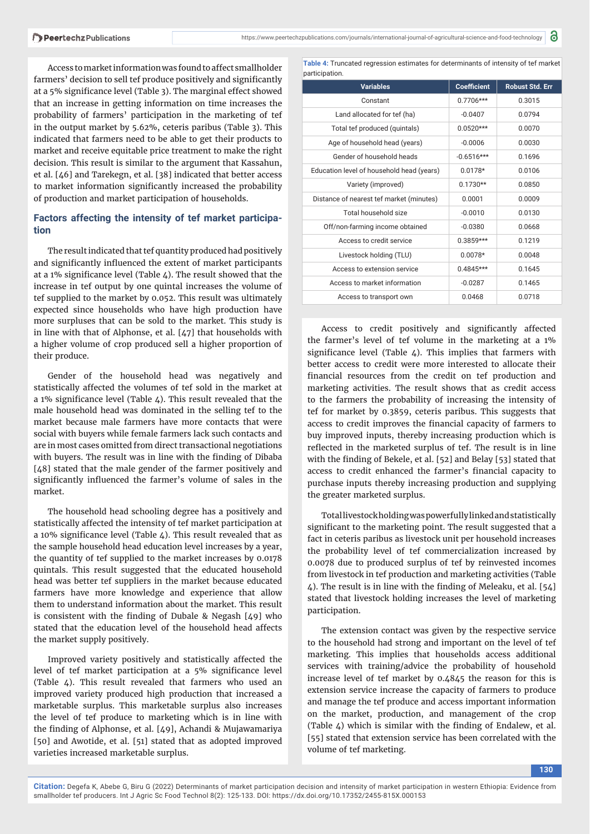Access to market information was found to affect smallholder farmers' decision to sell tef produce positively and significantly at a 5% significance level (Table 3). The marginal effect showed that an increase in getting information on time increases the probability of farmers' participation in the marketing of tef in the output market by 5.62%, ceteris paribus (Table 3). This indicated that farmers need to be able to get their products to market and receive equitable price treatment to make the right decision. This result is similar to the argument that Kassahun, et al. [46] and Tarekegn, et al. [38] indicated that better access to market information significantly increased the probability of production and market participation of households.

## **Factors affecting the intensity of tef market participation**

The result indicated that tef quantity produced had positively and significantly influenced the extent of market participants at a 1% significance level (Table  $4$ ). The result showed that the increase in tef output by one quintal increases the volume of tef supplied to the market by 0.052. This result was ultimately expected since households who have high production have more surpluses that can be sold to the market. This study is in line with that of Alphonse, et al. [47] that households with a higher volume of crop produced sell a higher proportion of their produce.

Gender of the household head was negatively and statistically affected the volumes of tef sold in the market at a 1% significance level (Table 4). This result revealed that the male household head was dominated in the selling tef to the market because male farmers have more contacts that were social with buyers while female farmers lack such contacts and are in most cases omitted from direct transactional negotiations with buyers. The result was in line with the finding of Dibaba [48] stated that the male gender of the farmer positively and significantly influenced the farmer's volume of sales in the market.

The household head schooling degree has a positively and statistically affected the intensity of tef market participation at a 10% significance level (Table  $4$ ). This result revealed that as the sample household head education level increases by a year, the quantity of tef supplied to the market increases by 0.0178 quintals. This result suggested that the educated household head was better tef suppliers in the market because educated farmers have more knowledge and experience that allow them to understand information about the market. This result is consistent with the finding of Dubale & Negash  $[49]$  who stated that the education level of the household head affects the market supply positively.

Improved variety positively and statistically affected the level of tef market participation at a 5% significance level (Table 4). This result revealed that farmers who used an improved variety produced high production that increased a marketable surplus. This marketable surplus also increases the level of tef produce to marketing which is in line with the finding of Alphonse, et al. [49], Achandi & Mujawamariya [50] and Awotide, et al. [51] stated that as adopted improved varieties increased marketable surplus.

**Table 4:** Truncated regression estimates for determinants of intensity of tef market participation.

| <b>Variables</b>                          | <b>Coefficient</b> | <b>Robust Std. Err</b> |
|-------------------------------------------|--------------------|------------------------|
| Constant                                  | $0.7706***$        | 0.3015                 |
| Land allocated for tef (ha)               | $-0.0407$          | 0.0794                 |
| Total tef produced (quintals)             | $0.0520***$        | 0.0070                 |
| Age of household head (years)             | $-0.0006$          | 0.0030                 |
| Gender of household heads                 | $-0.6516***$       | 0.1696                 |
| Education level of household head (years) | $0.0178*$          | 0.0106                 |
| Variety (improved)                        | $0.1730**$         | 0.0850                 |
| Distance of nearest tef market (minutes)  | 0.0001             | 0.0009                 |
| Total household size                      | $-0.0010$          | 0.0130                 |
| Off/non-farming income obtained           | $-0.0380$          | 0.0668                 |
| Access to credit service                  | $0.3859***$        | 0.1219                 |
| Livestock holding (TLU)                   | $0.0078*$          | 0.0048                 |
| Access to extension service               | $0.4845***$        | 0.1645                 |
| Access to market information              | $-0.0287$          | 0.1465                 |
| Access to transport own                   | 0.0468             | 0.0718                 |

Access to credit positively and significantly affected the farmer's level of tef volume in the marketing at a 1% significance level (Table  $\Delta$ ). This implies that farmers with better access to credit were more interested to allocate their financial resources from the credit on tef production and marketing activities. The result shows that as credit access to the farmers the probability of increasing the intensity of tef for market by 0.3859, ceteris paribus. This suggests that access to credit improves the financial capacity of farmers to buy improved inputs, thereby increasing production which is reflected in the marketed surplus of tef. The result is in line with the finding of Bekele, et al. [52] and Belay [53] stated that access to credit enhanced the farmer's financial capacity to purchase inputs thereby increasing production and supplying the greater marketed surplus.

Total livestock holding was powerfully linked and statistically significant to the marketing point. The result suggested that a fact in ceteris paribus as livestock unit per household increases the probability level of tef commercialization increased by 0.0078 due to produced surplus of tef by reinvested incomes from livestock in tef production and marketing activities (Table  $\angle$ ). The result is in line with the finding of Meleaku, et al. [5 $\angle$ ] stated that livestock holding increases the level of marketing participation.

The extension contact was given by the respective service to the household had strong and important on the level of tef marketing. This implies that households access additional services with training/advice the probability of household increase level of tef market by 0.4845 the reason for this is extension service increase the capacity of farmers to produce and manage the tef produce and access important information on the market, production, and management of the crop (Table  $\Delta$ ) which is similar with the finding of Endalew, et al. [55] stated that extension service has been correlated with the volume of tef marketing.

**130**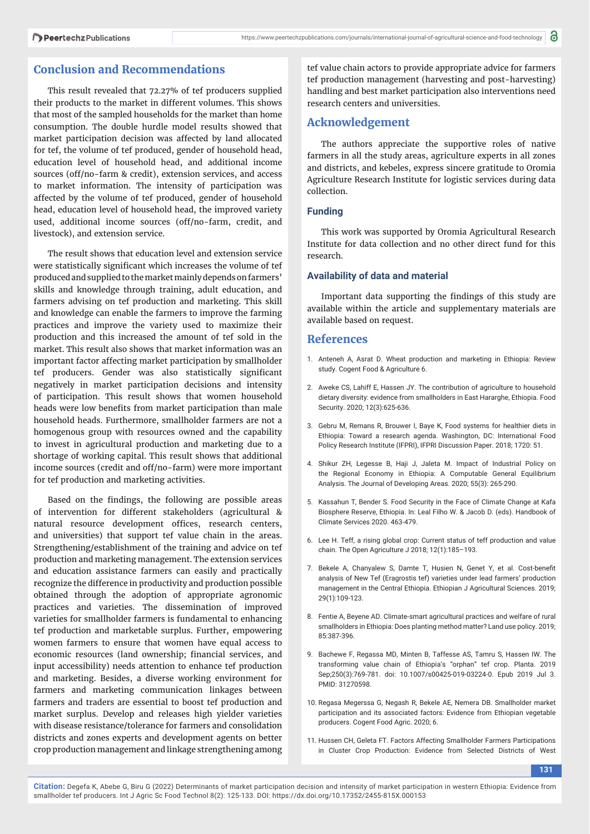## **Conclusion and Recommendations**

This result revealed that 72.27% of tef producers supplied their products to the market in different volumes. This shows that most of the sampled households for the market than home consumption. The double hurdle model results showed that market participation decision was affected by land allocated for tef, the volume of tef produced, gender of household head, education level of household head, and additional income sources (off/no-farm & credit), extension services, and access to market information. The intensity of participation was affected by the volume of tef produced, gender of household head, education level of household head, the improved variety used, additional income sources (off/no-farm, credit, and livestock), and extension service.

The result shows that education level and extension service were statistically significant which increases the volume of tef produced and supplied to the market mainly depends on farmers' skills and knowledge through training, adult education, and farmers advising on tef production and marketing. This skill and knowledge can enable the farmers to improve the farming practices and improve the variety used to maximize their production and this increased the amount of tef sold in the market. This result also shows that market information was an important factor affecting market participation by smallholder tef producers. Gender was also statistically significant negatively in market participation decisions and intensity of participation. This result shows that women household heads were low benefits from market participation than male household heads. Furthermore, smallholder farmers are not a homogenous group with resources owned and the capability to invest in agricultural production and marketing due to a shortage of working capital. This result shows that additional income sources (credit and off/no-farm) were more important for tef production and marketing activities.

Based on the findings, the following are possible areas of intervention for different stakeholders (agricultural & natural resource development offices, research centers, and universities) that support tef value chain in the areas. Strengthening/establishment of the training and advice on tef production and marketing management. The extension services and education assistance farmers can easily and practically recognize the difference in productivity and production possible obtained through the adoption of appropriate agronomic practices and varieties. The dissemination of improved varieties for smallholder farmers is fundamental to enhancing tef production and marketable surplus. Further, empowering women farmers to ensure that women have equal access to economic resources (land ownership; financial services, and input accessibility) needs attention to enhance tef production and marketing. Besides, a diverse working environment for farmers and marketing communication linkages between farmers and traders are essential to boost tef production and market surplus. Develop and releases high yielder varieties with disease resistance/tolerance for farmers and consolidation districts and zones experts and development agents on better crop production management and linkage strengthening among tef value chain actors to provide appropriate advice for farmers tef production management (harvesting and post-harvesting) handling and best market participation also interventions need research centers and universities.

### **Acknowledgement**

The authors appreciate the supportive roles of native farmers in all the study areas, agriculture experts in all zones and districts, and kebeles, express sincere gratitude to Oromia Agriculture Research Institute for logistic services during data collection.

#### **Funding**

This work was supported by Oromia Agricultural Research Institute for data collection and no other direct fund for this research.

#### **Availability of data and material**

Important data supporting the findings of this study are available within the article and supplementary materials are available based on request.

#### **References**

- 1. Anteneh A, Asrat D. Wheat production and marketing in Ethiopia: Review study. Cogent Food & Agriculture 6.
- 2. Aweke CS, Lahiff E, Hassen JY. The contribution of agriculture to household dietary diversity: evidence from smallholders in East Hararghe, Ethiopia. Food Security. 2020; 12(3):625-636.
- 3. Gebru M, Remans R, Brouwer I, Baye K, Food systems for healthier diets in Ethiopia: Toward a research agenda. Washington, DC: International Food Policy Research Institute (IFPRI), IFPRI Discussion Paper. 2018; 1720: 51.
- 4. Shikur ZH, Legesse B, Haji J, Jaleta M. Impact of Industrial Policy on the Regional Economy in Ethiopia: A Computable General Equilibrium Analysis. The Journal of Developing Areas. 2020; 55(3): 265-290.
- 5. Kassahun T, Bender S. Food Security in the Face of Climate Change at Kafa Biosphere Reserve, Ethiopia. In: Leal Filho W. & Jacob D. (eds). Handbook of Climate Services 2020. 463-479.
- 6. Lee H. Teff, a rising global crop: Current status of teff production and value chain. The Open Agriculture J 2018; 12(1):185–193.
- 7. Bekele A, Chanyalew S, Damte T, Husien N, Genet Y, et al. Cost-benefit analysis of New Tef (Eragrostis tef) varieties under lead farmers' production management in the Central Ethiopia. Ethiopian J Agricultural Sciences. 2019; 29(1):109-123.
- 8. Fentie A, Beyene AD. Climate-smart agricultural practices and welfare of rural smallholders in Ethiopia: Does planting method matter? Land use policy. 2019; 85:387-396.
- 9. Bachewe F, Regassa MD, Minten B, Taffesse AS, Tamru S, Hassen IW. The transforming value chain of Ethiopia's "orphan" tef crop. Planta. 2019 Sep;250(3):769-781. doi: 10.1007/s00425-019-03224-0. Epub 2019 Jul 3. PMID: 31270598.
- 10. Regasa Megerssa G, Negash R, Bekele AE, Nemera DB. Smallholder market participation and its associated factors: Evidence from Ethiopian vegetable producers. Cogent Food Agric. 2020; 6.
- 11. Hussen CH, Geleta FT. Factors Affecting Smallholder Farmers Participations in Cluster Crop Production: Evidence from Selected Districts of West

**131**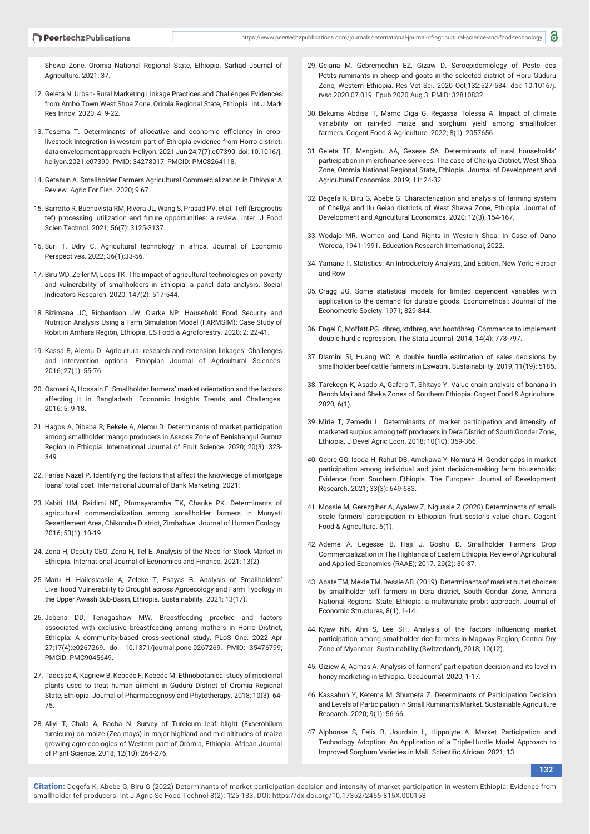Shewa Zone, Oromia National Regional State, Ethiopia. Sarhad Journal of Agriculture. 2021; 37.

- 12. Geleta N. Urban- Rural Marketing Linkage Practices and Challenges Evidences from Ambo Town West Shoa Zone, Orimia Regional State, Ethiopia. Int J Mark Res Innov. 2020; 4: 9-22.
- 13. Tesema T. Determinants of allocative and economic efficiency in croplivestock integration in western part of Ethiopia evidence from Horro district: data envelopment approach. Heliyon. 2021 Jun 24;7(7):e07390. doi: 10.1016/j. heliyon.2021.e07390. PMID: 34278017; PMCID: PMC8264118.
- 14. Getahun A. Smallholder Farmers Agricultural Commercialization in Ethiopia: A Review. Agric For Fish. 2020; 9:67.
- 15. Barretto R, Buenavista RM, Rivera JL, Wang S, Prasad PV, et al. Teff (Eragrostis tef) processing, utilization and future opportunities: a review. Inter. J Food Scien Technol. 2021; 56(7): 3125-3137.
- 16. Suri T, Udry C. Agricultural technology in africa. Journal of Economic Perspectives. 2022; 36(1):33-56.
- 17. Biru WD, Zeller M, Loos TK. The impact of agricultural technologies on poverty and vulnerability of smallholders in Ethiopia: a panel data analysis. Social Indicators Research. 2020; 147(2): 517-544.
- 18. Bizimana JC, Richardson JW, Clarke NP. Household Food Security and Nutrition Analysis Using a Farm Simulation Model (FARMSIM): Case Study of Robit in Amhara Region, Ethiopia. ES Food & Agroforestry. 2020; 2: 22-41.
- 19. Kassa B, Alemu D. Agricultural research and extension linkages: Challenges and intervention options. Ethiopian Journal of Agricultural Sciences. 2016; 27(1): 55-76.
- 20. Osmani A, Hossain E. Smallholder farmers' market orientation and the factors affecting it in Bangladesh. Economic Insights–Trends and Challenges. 2016; 5: 9-18.
- 21. Hagos A, Dibaba R, Bekele A, Alemu D. Determinants of market participation among smallholder mango producers in Assosa Zone of Benishangul Gumuz Region in Ethiopia. International Journal of Fruit Science. 2020; 20(3): 323- 349.
- 22. Farías Nazel P. Identifying the factors that affect the knowledge of mortgage loans' total cost. International Journal of Bank Marketing. 2021;
- 23. Kabiti HM, Raidimi NE, Pfumayaramba TK, Chauke PK. Determinants of agricultural commercialization among smallholder farmers in Munyati Resettlement Area, Chikomba District, Zimbabwe. Journal of Human Ecology. 2016; 53(1): 10-19.
- 24. Zena H, Deputy CEO, Zena H, Tel E. Analysis of the Need for Stock Market in Ethiopia. International Journal of Economics and Finance. 2021; 13(2).
- 25. Maru H, Haileslassie A, Zeleke T, Esayas B. Analysis of Smallholders' Livelihood Vulnerability to Drought across Agroecology and Farm Typology in the Upper Awash Sub-Basin, Ethiopia. Sustainability. 2021; 13(17).
- 26. Jebena DD, Tenagashaw MW. Breastfeeding practice and factors associated with exclusive breastfeeding among mothers in Horro District, Ethiopia: A community-based cross-sectional study. PLoS One. 2022 Apr 27;17(4):e0267269. doi: 10.1371/journal.pone.0267269. PMID: 35476799; PMCID: PMC9045649.
- 27. Tadesse A, Kagnew B, Kebede F, Kebede M. Ethnobotanical study of medicinal plants used to treat human ailment in Guduru District of Oromia Regional State, Ethiopia. Journal of Pharmacognosy and Phytotherapy. 2018; 10(3): 64- 75.
- 28. Aliyi T, Chala A, Bacha N. Survey of Turcicum leaf blight (Exserohilum turcicum) on maize (Zea mays) in major highland and mid-altitudes of maize growing agro-ecologies of Western part of Oromia, Ethiopia. African Journal of Plant Science. 2018; 12(10): 264-276.
- 29. Gelana M, Gebremedhin EZ, Gizaw D. Seroepidemiology of Peste des Petits ruminants in sheep and goats in the selected district of Horu Guduru Zone, Western Ethiopia. Res Vet Sci. 2020 Oct;132:527-534. doi: 10.1016/j. rvsc.2020.07.019. Epub 2020 Aug 3. PMID: 32810832.
- 30. Bekuma Abdisa T, Mamo Diga G, Regassa Tolessa A. Impact of climate variability on rain-fed maize and sorghum yield among smallholder farmers. Cogent Food & Agriculture. 2022; 8(1): 2057656.
- 31. Geleta TE, Mengistu AA, Gesese SA. Determinants of rural households' participation in microfinance services: The case of Cheliya District, West Shoa Zone, Oromia National Regional State, Ethiopia. Journal of Development and Agricultural Economics. 2019; 11: 24-32.
- 32. Degefa K, Biru G, Abebe G. Characterization and analysis of farming system of Cheliya and Ilu Gelan districts of West Shewa Zone, Ethiopia. Journal of Development and Agricultural Economics. 2020; 12(3), 154-167.
- 33. Wodajo MR. Women and Land Rights in Western Shoa: In Case of Dano Woreda, 1941-1991. Education Research International, 2022.
- 34. Yamane T. Statistics: An Introductory Analysis, 2nd Edition. New York: Harper and Row.
- 35. Cragg JG. Some statistical models for limited dependent variables with application to the demand for durable goods. Econometrical: Journal of the Econometric Society. 1971; 829-844.
- 36. Engel C, Moffatt PG. dhreg, xtdhreg, and bootdhreg: Commands to implement double-hurdle regression. The Stata Journal. 2014; 14(4): 778-797.
- 37. Dlamini SI, Huang WC. A double hurdle estimation of sales decisions by smallholder beef cattle farmers in Eswatini. Sustainability. 2019; 11(19): 5185.
- 38. Tarekegn K, Asado A, Gafaro T, Shitaye Y. Value chain analysis of banana in Bench Maji and Sheka Zones of Southern Ethiopia. Cogent Food & Agriculture. 2020; 6(1).
- 39. Mirie T, Zemedu L. Determinants of market participation and intensity of marketed surplus among teff producers in Dera District of South Gondar Zone, Ethiopia. J Devel Agric Econ. 2018; 10(10): 359-366.
- 40. Gebre GG, Isoda H, Rahut DB, Amekawa Y, Nomura H. Gender gaps in market participation among individual and joint decision-making farm households: Evidence from Southern Ethiopia. The European Journal of Development Research. 2021; 33(3): 649-683.
- 41. Mossie M, Gerezgiher A, Ayalew Z, Nigussie Z (2020) Determinants of smallscale farmers' participation in Ethiopian fruit sector's value chain. Cogent Food & Agriculture. 6(1).
- 42. Ademe A, Legesse B, Haji J, Goshu D. Smallholder Farmers Crop Commercialization in The Highlands of Eastern Ethiopia. Review of Agricultural and Applied Economics (RAAE); 2017. 20(2): 30-37.
- 43. Abate TM, Mekie TM, Dessie AB. (2019). Determinants of market outlet choices by smallholder teff farmers in Dera district, South Gondar Zone, Amhara National Regional State, Ethiopia: a multivariate probit approach. Journal of Economic Structures, 8(1), 1-14.
- 44. Kyaw NN, Ahn S, Lee SH. Analysis of the factors influencing market participation among smallholder rice farmers in Magway Region, Central Dry Zone of Myanmar. Sustainability (Switzerland), 2018; 10(12).
- 45. Giziew A, Admas A. Analysis of farmers' participation decision and its level in honey marketing in Ethiopia. GeoJournal. 2020; 1-17.
- 46. Kassahun Y, Ketema M, Shumeta Z. Determinants of Participation Decision and Levels of Participation in Small Ruminants Market. Sustainable Agriculture Research. 2020; 9(1): 56-66.
- 47. Alphonse S, Felix B, Jourdain L, Hippolyte A. Market Participation and Technology Adoption: An Application of a Triple-Hurdle Model Approach to Improved Sorghum Varieties in Mali. Scientific African. 2021; 13.

**132**